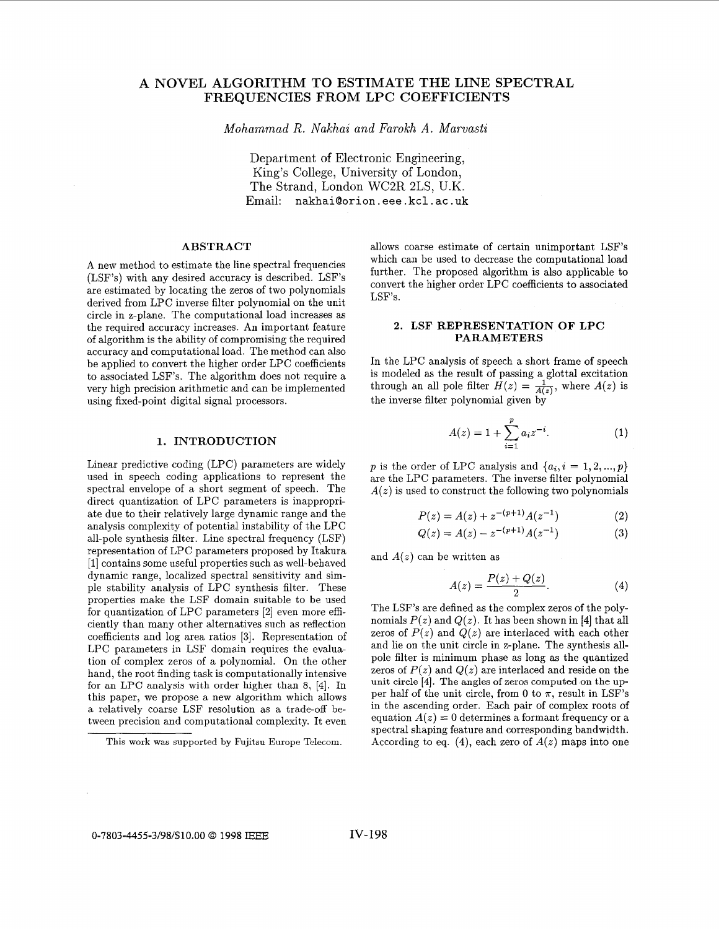# **A NOVEL ALGORITHM TO ESTIMATE THE LINE SPECTRAL FREQUENCIES FROM LPC COEFFICIENTS**

*Mohammad R. Nakhai and Farokh A. Marvasti* 

Department of Electronic Engineering, King's College, University of London, The Strand, London WC2R 2LS, U.K. Email: nakhai@orion . eee . kcl . ac . uk

## **ABSTRACT**

A new method to estimate the line spectral frequencies (LSF's) with any desired accuracy is described. LSF's are estimated by locating the zeros of two polynomials derived from LPC inverse filter polynomial on the unit circle in z-plane. The computational load increases as the required accuracy increases. An important feature of algorithm is the ability of compromising the required accuracy and computational load. The method can also be applied to convert the higher order LPC coefficients to associated LSF's. The algorithm does not require a very high precision arithmetic and can be implemented using fixed-point digital signal processors.

#### **1. INTRODUCTION**

Linear predictive coding (LPC) parameters are widely used in speech coding applications to represent the spectral envelope of a short segment of speech. The direct quantization of LPC parameters is inappropriate due to their relatively large dynamic range and the analysis complexity of potential instability of the LPC all-pole synthesis filter. Line spectral frequency (LSF) representation of LPC parameters proposed by Itakura [l] contains some useful properties such as well-behaved dynamic range, localized spectral sensitivity and simple stability analysis of LPC synthesis filter. These properties make the LSF domain suitable to be used for quantization of LPC parameters [2] even more efficiently than many other alternatives such as reflection coefficients and log area ratios **[3].** Representation of LPC parameters in LSF domain requires the evaluation of complex zeros of a polynomial. On the other hand, the root finding task is computationally intensive for an LPC analysis with order higher than 8, [4]. In this paper, we propose a new algorithm which allows a relatively coarse LSF resolution as a trade-off between precision and computational complexity. It even allows coarse estimate of certain unimportant LSF's which can be used to decrease the computational load further. The proposed algorithm is also applicable to convert the higher order LPC coefficients to associated LSF's.

#### **2. LSF REPRESENTATION OF LPC PARAMETERS**

In the LPC analysis of speech a short frame of speech is modeled as the result of passing a glottal excitation through an all pole filter  $H(z) = \frac{1}{A(z)}$ , where  $A(z)$  is the inverse filter polynomial given by

$$
A(z) = 1 + \sum_{i=1}^{p} a_i z^{-i}.
$$
 (1)

*p* is the order of LPC analysis and  $\{a_i, i = 1, 2, ..., p\}$ are the LPC parameters. The inverse filter polynomial  $A(z)$  is used to construct the following two polynomials

$$
P(z) = A(z) + z^{-(p+1)}A(z^{-1})
$$
 (2)

$$
Q(z) = A(z) - z^{-(p+1)}A(z^{-1})
$$
 (2)  
(3)

and  $A(z)$  can be written as

$$
A(z) = \frac{P(z) + Q(z)}{2}.\tag{4}
$$

The LSF's are defined as the complex zeros of the polynomials  $P(z)$  and  $Q(z)$ . It has been shown in [4] that all zeros of  $P(z)$  and  $Q(z)$  are interlaced with each other and lie on the unit circle in z-plane. The synthesis allpole filter is minimum phase as long as the quantized zeros of  $P(z)$  and  $Q(z)$  are interlaced and reside on the unit circle **[4].** The angles of zeros computed on the upper half of the unit circle, from 0 to  $\pi$ , result in LSF's in the ascending order. Each pair of complex roots of equation  $A(z) = 0$  determines a formant frequency or a spectral shaping feature and corresponding bandwidth. According to eq.  $(4)$ , each zero of  $A(z)$  maps into one

This work was supported by Fujitsu Europe Telecom.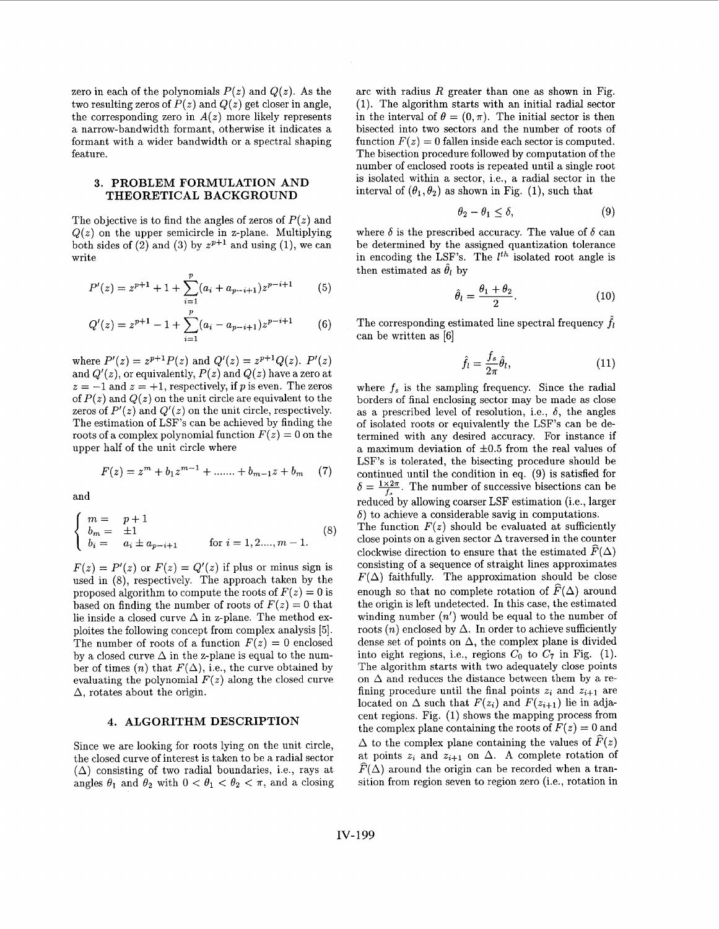zero in each of the polynomials  $P(z)$  and  $Q(z)$ . As the two resulting zeros of  $P(z)$  and  $Q(z)$  get closer in angle, the corresponding zero in  $A(z)$  more likely represents a narrow-bandwidth formant, otherwise it indicates a formant with a wider bandwidth or a spectral shaping feature.

## **3. PROBLEM FORMULATION AND THEORETICAL BACKGROUND**

The objective is to find the angles of zeros of  $P(z)$  and  $Q(z)$  on the upper semicircle in z-plane. Multiplying both sides of (2) and (3) by  $z^{p+1}$  and using (1), we can write

$$
P'(z) = z^{p+1} + 1 + \sum_{i=1}^{p} (a_i + a_{p-i+1}) z^{p-i+1}
$$
 (5)

$$
Q'(z) = z^{p+1} - 1 + \sum_{i=1}^{p} (a_i - a_{p-i+1}) z^{p-i+1}
$$
 (6)

where  $P'(z) = z^{p+1}P(z)$  and  $Q'(z) = z^{p+1}Q(z)$ .  $P'(z)$ and  $Q'(z)$ , or equivalently,  $P(z)$  and  $Q(z)$  have a zero at  $z = -1$  and  $z = +1$ , respectively, if p is even. The zeros of  $P(z)$  and  $Q(z)$  on the unit circle are equivalent to the zeros of  $P'(z)$  and  $Q'(z)$  on the unit circle, respectively. The estimation of LSF's can be achieved by finding the roots of a complex polynomial function  $F(z) = 0$  on the upper half of the unit circle where

$$
F(z) = zm + b1zm-1 + \dots + bm-1z + bm \quad (7)
$$

and

$$
\begin{cases}\nm = p + 1 \\
b_m = \pm 1 \\
b_i = a_i \pm a_{p-i+1}\n\end{cases}
$$
\nfor  $i = 1, 2, ..., m - 1$ . (8)

 $F(z) = P'(z)$  or  $F(z) = Q'(z)$  if plus or minus sign is used in (8), respectively. The approach taken by the proposed algorithm to compute the roots of  $F(z) = 0$  is based on finding the number of roots of  $F(z) = 0$  that lie inside a closed curve  $\Delta$  in z-plane. The method exploites the following concept from complex analysis *[5].*  The number of roots of a function  $F(z) = 0$  enclosed by a closed curve  $\Delta$  in the z-plane is equal to the number of times  $(n)$  that  $F(\Delta)$ , i.e., the curve obtained by evaluating the polynomial  $F(z)$  along the closed curve  $\Delta$ , rotates about the origin.

### **4. ALGORITHM DESCRIPTION**

Since we are looking for roots lying on the unit circle, the closed curve of interest is taken to be a radial sector  $(\Delta)$  consisting of two radial boundaries, i.e., rays at angles  $\theta_1$  and  $\theta_2$  with  $0 < \theta_1 < \theta_2 < \pi$ , and a closing

arc with radius *R* greater than one as shown in Fig. (1). The algorithm starts with an initial radial sector in the interval of  $\theta = (0, \pi)$ . The initial sector is then bisected into two sectors and the number of roots of function  $F(z) = 0$  fallen inside each sector is computed. The bisection procedure followed by computation of the number of enclosed roots is repeated until a single root is isolated within a sector, i.e., a radial sector in the interval of  $(\theta_1, \theta_2)$  as shown in Fig. (1), such that

$$
\theta_2 - \theta_1 \le \delta,\tag{9}
$$

where  $\delta$  is the prescribed accuracy. The value of  $\delta$  can be determined by the assigned quantization tolerance in encoding the LSF's. The  $l^{th}$  isolated root angle is then estimated as  $\hat{\theta}_l$  by

$$
\hat{\theta}_l = \frac{\theta_1 + \theta_2}{2}.\tag{10}
$$

The corresponding estimated line spectral frequency  $f_l$ can be written as [6]

$$
\hat{f}_l = \frac{f_s}{2\pi} \hat{\theta}_l,\tag{11}
$$

where  $f_s$  is the sampling frequency. Since the radial borders of final enclosing sector may be made as close as a prescribed level of resolution, i.e.,  $\delta$ , the angles of isolated roots or equivalently the LSF's can be determined with any desired accuracy. For instance if a maximum deviation of  $\pm 0.5$  from the real values of LSF's is tolerated, the bisecting procedure should be continued until the condition in eq. (9) is satisfied for  $\delta=\frac{1\times 2\pi}{f}$ . The number of successive bisections can be reduced by allowing coarser LSF estimation (i.e., larger  $\delta$ ) to achieve a considerable savig in computations.

The function  $F(z)$  should be evaluated at sufficiently close points on a given sector  $\Delta$  traversed in the counter clockwise direction to ensure that the estimated  $\widehat{F}(\Delta)$ consisting of a sequence of straight lines approximates  $F(\Delta)$  faithfully. The approximation should be close enough so that no complete rotation of  $\widehat{F}(\Delta)$  around the origin is left undetected. In this case, the estimated winding number *(n')* would be equal to the number of roots  $(n)$  enclosed by  $\Delta$ . In order to achieve sufficiently dense set of points on  $\Delta$ , the complex plane is divided into eight regions, i.e., regions  $C_0$  to  $C_7$  in Fig. (1). The algorithm starts with two adequately close points on  $\Delta$  and reduces the distance between them by a refining procedure until the final points  $z_i$  and  $z_{i+1}$  are located on  $\Delta$  such that  $F(z_i)$  and  $F(z_{i+1})$  lie in adjacent regions. Fig. (1) shows the mapping process from the complex plane containing the roots of  $F(z) = 0$  and  $\Delta$  to the complex plane containing the values of  $\widehat{F}(z)$ at points  $z_i$  and  $z_{i+1}$  on  $\Delta$ . A complete rotation of  $\widehat{F}(\Delta)$  around the origin can be recorded when a transition from region seven to region zero (i.e., rotation in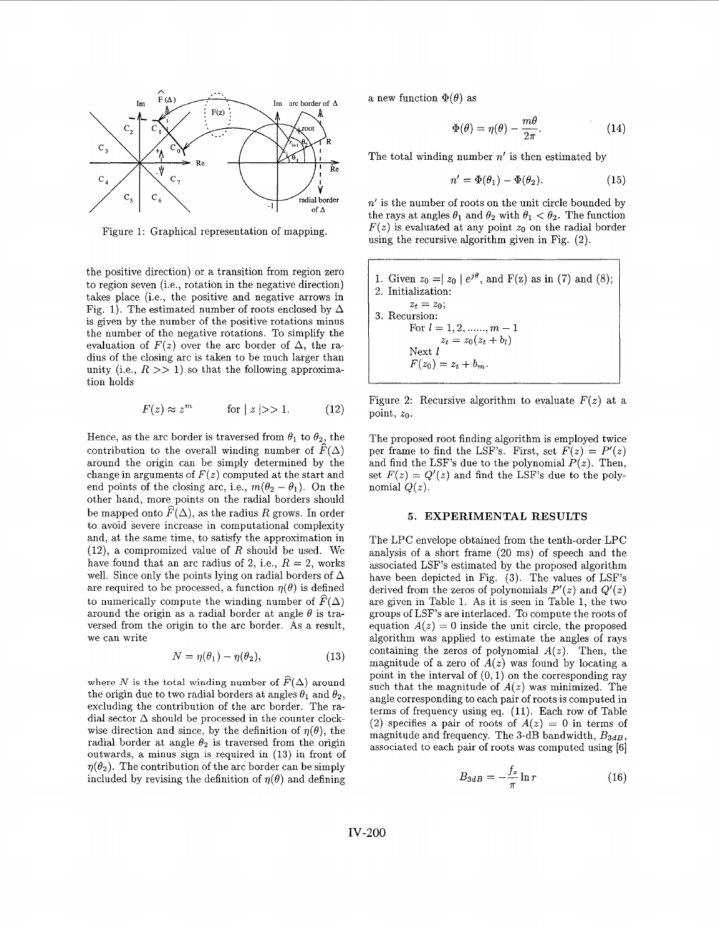

Figure 1: Graphical representation of mapping.

the positive direction) or a transition from region zero to region seven (Le., rotation in the negative direction) takes place (i.e., the positive and negative arrows in Fig. 1). The estimated number of roots enclosed by  $\Delta$ is given by the number of the positive rotations minus the number of the negative rotations. To simplify the evaluation of  $F(z)$  over the arc border of  $\Delta$ , the radius of the closing arc is taken to be much larger than unity (i.e.,  $R \gg 1$ ) so that the following approximation holds

$$
F(z) \approx z^m \qquad \text{for } |z|>>1. \tag{12}
$$

Hence, as the arc border is traversed from  $\theta_1$  to  $\theta_2$ , the contribution to the overall winding number of  $\widehat{F}(\Delta)$ around the origin can be simply determined by the change in arguments of  $F(z)$  computed at the start and end points of the closing arc, i.e.,  $m(\theta_2 - \theta_1)$ . On the other hand, more points on the radial borders should be mapped onto  $\widehat{F}(\Delta)$ , as the radius *R* grows. In order to avoid severe increase in computational complexity and, at the same time, to satisfy the approximation in  $(12)$ , a compromized value of *R* should be used. We have found that an arc radius of 2, i.e.,  $R = 2$ , works well. Since only the points lying on radial borders of  $\Delta$ are required to be processed, a function  $\eta(\theta)$  is defined to numerically compute the winding number of  $\widehat{F}(\Delta)$ around the origin as a radial border at angle  $\theta$  is traversed from the origin to the arc border. As a result, we can write

$$
N = \eta(\theta_1) - \eta(\theta_2), \tag{13}
$$

where *N* is the total winding number of  $\widehat{F}(\Delta)$  around the origin due to two radial borders at angles  $\theta_1$  and  $\theta_2$ , excluding the contribution of the arc border. The radial sector  $\Delta$  should be processed in the counter clockwise direction and since, by the definition of  $\eta(\theta)$ , the radial border at angle  $\theta_2$  is traversed from the origin outwards, a minus sign is required in **(13)** in front of  $\eta(\theta_2)$ . The contribution of the arc border can be simply included by revising the definition of  $\eta(\theta)$  and defining

a new function  $\Phi(\theta)$  as

$$
\Phi(\theta) = \eta(\theta) - \frac{m\theta}{2\pi}.
$$
 (14)

The total winding number *n'* is then estimated by

$$
n' = \Phi(\theta_1) - \Phi(\theta_2). \tag{15}
$$

 $n'$  is the number of roots on the unit circle bounded by the rays at angles  $\theta_1$  and  $\theta_2$  with  $\theta_1 < \theta_2$ . The function  $F(z)$  is evaluated at any point  $z_0$  on the radial border using the recursive algorithm given in Fig. (2).

\n- 1. Given 
$$
z_0 = |z_0| e^{j\theta}
$$
, and  $F(z)$  as in (7) and (8);
\n- 2. Initialization:  $z_t = z_0$ ;
\n- 3. Recursion: For  $l = 1, 2, \ldots, m - 1$   $z_t = z_0(z_t + b_l)$  Next  $l$   $F(z_0) = z_t + b_m$ .
\n

Figure 2: Recursive algorithm to evaluate  $F(z)$  at a point, *zo.* 

The proposed root finding algorithm is employed twice per frame to find the LSF's. First, set  $F(z) = P'(z)$ and find the LSF's due to the polynomial  $P(z)$ . Then, set  $F(z) = Q'(z)$  and find the LSF's due to the polynomial  $Q(z)$ .

### *5.* EXPERIMENTAL RESULTS

The LPC envelope obtained from the tenth-order LPC analysis of a short frame (20 ms) of speech and the associated LSF's estimated by the proposed algorithm have been depicted in Fig. **(3).** The values of LSF's derived from the zeros of polynomials  $P'(z)$  and  $Q'(z)$  are given in Table 1. As it is seen in Table 1, the two groups of LSF's are interlaced. To compute the roots of equation  $A(z) = 0$  inside the unit circle, the proposed algorithm was applied to estimate the angles of rays containing the zeros of polynomial  $A(z)$ . Then, the magnitude of a zero of  $A(z)$  was found by locating a point in the interval of  $(0,1)$  on the corresponding ray such that the magnitude of  $A(z)$  was minimized. The angle corresponding to each pair of roots is computed in terms of frequency using eq. (11). Each row of Table (2) specifies a pair of roots of  $A(z) = 0$  in terms of magnitude and frequency. The 3-dB bandwidth,  $B_{3dB}$ , associated to each pair of roots was computed using **[6]** 

$$
B_{3dB} = -\frac{f_s}{\pi} \ln r \tag{16}
$$